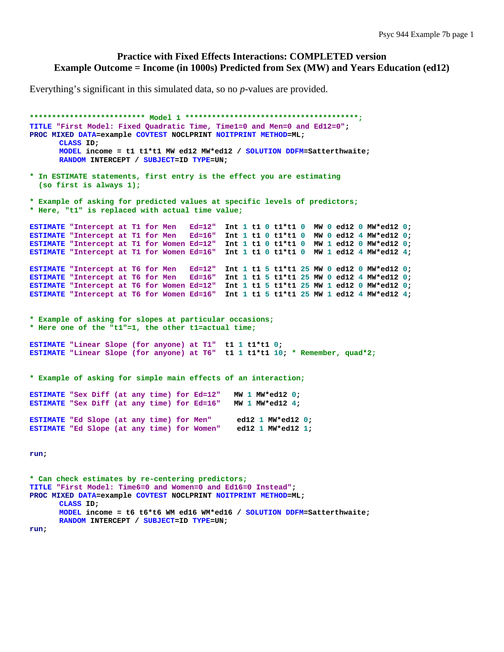#### **Practice with Fixed Effects Interactions: COMPLETED version Example Outcome = Income (in 1000s) Predicted from Sex (MW) and Years Education (ed12)**

Everything's significant in this simulated data, so no *p*-values are provided.

**\*\*\*\*\*\*\*\*\*\*\*\*\*\*\*\*\*\*\*\*\*\*\*\*\*\* Model 1 \*\*\*\*\*\*\*\*\*\*\*\*\*\*\*\*\*\*\*\*\*\*\*\*\*\*\*\*\*\*\*\*\*\*\*\*\*\*\*; TITLE "First Model: Fixed Quadratic Time, Time1=0 and Men=0 and Ed12=0"; PROC MIXED DATA=example COVTEST NOCLPRINT NOITPRINT METHOD=ML; CLASS ID; MODEL income = t1 t1\*t1 MW ed12 MW\*ed12 / SOLUTION DDFM=Satterthwaite; RANDOM INTERCEPT / SUBJECT=ID TYPE=UN; \* In ESTIMATE statements, first entry is the effect you are estimating (so first is always 1); \* Example of asking for predicted values at specific levels of predictors; \* Here, "t1" is replaced with actual time value; ESTIMATE "Intercept at T1 for Men Ed=12" Int 1 t1 0 t1\*t1 0 MW 0 ed12 0 MW\*ed12 0; ESTIMATE "Intercept at T1 for Men Ed=16" Int 1 t1 0 t1\*t1 0 MW 0 ed12 4 MW\*ed12 0; ESTIMATE "Intercept at T1 for Women Ed=12" Int 1 t1 0 t1\*t1 0 MW 1 ed12 0 MW\*ed12 0; ESTIMATE "Intercept at T1 for Women Ed=16" Int 1 t1 0 t1\*t1 0 MW 1 ed12 4 MW\*ed12 4; ESTIMATE "Intercept at T6 for Men Ed=12" Int 1 t1 5 t1\*t1 25 MW 0 ed12 0 MW\*ed12 0; ESTIMATE "Intercept at T6 for Men Ed=16" Int 1 t1 5 t1\*t1 25 MW 0 ed12 4 MW\*ed12 0; ESTIMATE "Intercept at T6 for Women Ed=12" Int 1 t1 5 t1\*t1 25 MW 1 ed12 0 MW\*ed12 0; ESTIMATE "Intercept at T6 for Women Ed=16" Int 1 t1 5 t1\*t1 25 MW 1 ed12 4 MW\*ed12 4; \* Example of asking for slopes at particular occasions; \* Here one of the "t1"=1, the other t1=actual time; ESTIMATE "Linear Slope (for anyone) at T1" t1 1 t1\*t1 0; ESTIMATE "Linear Slope (for anyone) at T6" t1 1 t1\*t1 10; \* Remember, quad\*2; \* Example of asking for simple main effects of an interaction; ESTIMATE "Sex Diff (at any time) for Ed=12" MW 1 MW\*ed12 0; ESTIMATE "Sex Diff (at any time) for Ed=16" MW 1 MW\*ed12 4; ESTIMATE "Ed Slope (at any time) for Men" ed12 1 MW\*ed12 0; ESTIMATE "Ed Slope (at any time) for Women" ed12 1 MW\*ed12 1; run; \* Can check estimates by re-centering predictors; TITLE "First Model: Time6=0 and Women=0 and Ed16=0 Instead"; PROC MIXED DATA=example COVTEST NOCLPRINT NOITPRINT METHOD=ML; CLASS ID; MODEL income = t6 t6\*t6 WM ed16 WM\*ed16 / SOLUTION DDFM=Satterthwaite;** 

**RANDOM INTERCEPT / SUBJECT=ID TYPE=UN;** 

**run;**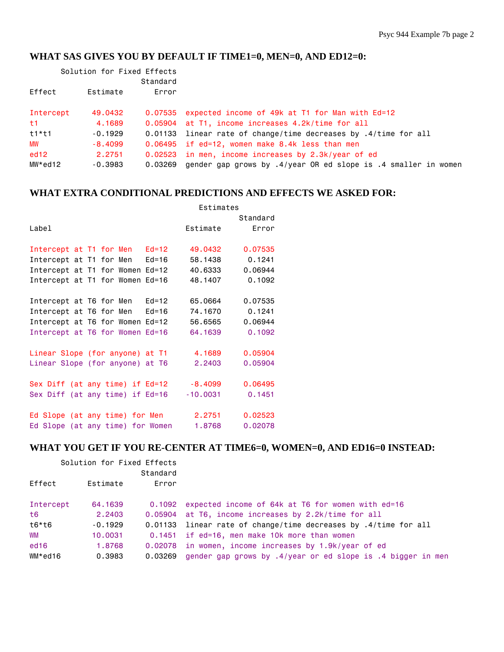# **WHAT SAS GIVES YOU BY DEFAULT IF TIME1=0, MEN=0, AND ED12=0:**

| Solution for Fixed Effects |           |          |                                                                     |
|----------------------------|-----------|----------|---------------------------------------------------------------------|
|                            |           | Standard |                                                                     |
| Effect                     | Estimate  | Error    |                                                                     |
| Intercept                  | 49,0432   |          | 0.07535 expected income of 49k at T1 for Man with Ed=12             |
| t1                         | 4,1689    |          | 0.05904 at T1, income increases 4.2k/time for all                   |
| $t1*11$                    | $-0.1929$ |          | 0.01133 linear rate of change/time decreases by .4/time for all     |
| MW                         | $-8,4099$ |          | 0.06495 if ed=12, women make 8.4k less than men                     |
| ed12                       | 2.2751    |          | 0.02523 in men, income increases by 2.3k/year of ed                 |
| MW*ed12                    | $-0.3983$ | 0.03269  | gender gap grows by $.4$ /year OR ed slope is $.4$ smaller in women |

### **WHAT EXTRA CONDITIONAL PREDICTIONS AND EFFECTS WE ASKED FOR:**

|                                         | Estimates  |          |
|-----------------------------------------|------------|----------|
|                                         |            | Standard |
| Label                                   | Estimate   | Error    |
|                                         |            |          |
| Intercept at T1 for Men Ed=12           | 49,0432    | 0.07535  |
| Intercept at T1 for Men Ed=16           | 58,1438    | 0.1241   |
| Intercept at T1 for Women Ed=12         | 40.6333    | 0.06944  |
| Intercept at T1 for Women Ed=16         | 48,1407    | 0.1092   |
|                                         |            |          |
| Intercept at T6 for Men Ed=12           | 65,0664    | 0.07535  |
| Intercept at T6 for Men   Ed=16         | 74.1670    | 0.1241   |
| Intercept at T6 for Women Ed=12         | 56,6565    | 0.06944  |
| Intercept at T6 for Women Ed=16         | 64.1639    | 0.1092   |
|                                         |            |          |
| Linear Slope (for anyone) at T1         | 4.1689     | 0.05904  |
| Linear Slope (for anyone) at T6         | 2.2403     | 0.05904  |
|                                         |            |          |
| Sex Diff (at any time) if Ed=12 -8.4099 |            | 0.06495  |
| Sex Diff (at any time) if Ed=16         | $-10.0031$ | 0.1451   |
|                                         |            |          |
| Ed Slope (at any time) for Men 2.2751   |            | 0.02523  |
| Ed Slope (at any time) for Women 1.8768 |            | 0.02078  |

### **WHAT YOU GET IF YOU RE-CENTER AT TIME6=0, WOMEN=0, AND ED16=0 INSTEAD:**

| Solution for Fixed Effects |           |          |                                                                 |
|----------------------------|-----------|----------|-----------------------------------------------------------------|
|                            |           | Standard |                                                                 |
| Effect                     | Estimate  | Error    |                                                                 |
| Intercept                  | 64,1639   |          | 0.1092 expected income of 64k at T6 for women with ed=16        |
| t6                         | 2.2403    |          | 0.05904 at T6, income increases by 2.2k/time for all            |
| t6*t6                      | $-0.1929$ |          | 0.01133 linear rate of change/time decreases by .4/time for all |
| <b>WM</b>                  | 10,0031   |          | 0.1451 if ed=16, men make 10k more than women                   |
| ed <sub>16</sub>           | 1,8768    |          | 0.02078 in women, income increases by 1.9k/year of ed           |
| WM*ed16                    | 0.3983    | 0.03269  | gender gap grows by .4/year or ed slope is .4 bigger in men     |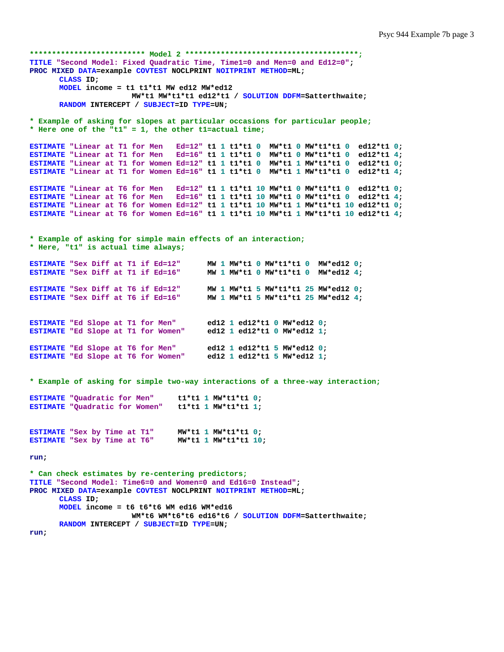```
************************** Model 2 ***************************************;
TITLE "Second Model: Fixed Quadratic Time, Time1=0 and Men=0 and Ed12=0"; 
PROC MIXED DATA=example COVTEST NOCLPRINT NOITPRINT METHOD=ML; 
      CLASS ID; 
      MODEL income = t1 t1*t1 MW ed12 MW*ed12 
                       MW*t1 MW*t1*t1 ed12*t1 / SOLUTION DDFM=Satterthwaite; 
       RANDOM INTERCEPT / SUBJECT=ID TYPE=UN; 
* Example of asking for slopes at particular occasions for particular people;
* Here one of the "t1" = 1, the other t1=actual time; 
ESTIMATE "Linear at T1 for Men Ed=12" t1 1 t1*t1 0 MW*t1 0 MW*t1*t1 0 ed12*t1 0; 
ESTIMATE "Linear at T1 for Men Ed=16" t1 1 t1*t1 0 MW*t1 0 MW*t1*t1 0 ed12*t1 4; 
ESTIMATE "Linear at T1 for Women Ed=12" t1 1 t1*t1 0 MW*t1 1 MW*t1*t1 0 ed12*t1 0; 
ESTIMATE "Linear at T1 for Women Ed=16" t1 1 t1*t1 0 MW*t1 1 MW*t1*t1 0 ed12*t1 4; 
ESTIMATE "Linear at T6 for Men Ed=12" t1 1 t1*t1 10 MW*t1 0 MW*t1*t1 0 ed12*t1 0; 
ESTIMATE "Linear at T6 for Men Ed=16" t1 1 t1*t1 10 MW*t1 0 MW*t1*t1 0 ed12*t1 4; 
ESTIMATE "Linear at T6 for Women Ed=12" t1 1 t1*t1 10 MW*t1 1 MW*t1*t1 10 ed12*t1 0; 
ESTIMATE "Linear at T6 for Women Ed=16" t1 1 t1*t1 10 MW*t1 1 MW*t1*t1 10 ed12*t1 4; 
* Example of asking for simple main effects of an interaction;
* Here, "t1" is actual time always; 
ESTIMATE "Sex Diff at T1 if Ed=12" MW 1 MW*t1 0 MW*t1*t1 0 MW*ed12 0; 
ESTIMATE "Sex Diff at T1 if Ed=16" MW 1 MW*t1 0 MW*t1*t1 0 MW*ed12 4; 
ESTIMATE "Sex Diff at T6 if Ed=12" MW 1 MW*t1 5 MW*t1*t1 25 MW*ed12 0; 
                                      ESTIMATE "Sex Diff at T6 if Ed=16" MW 1 MW*t1 5 MW*t1*t1 25 MW*ed12 4; 
ESTIMATE "Ed Slope at T1 for Men" ed12 1 ed12*t1 0 MW*ed12 0; 
ESTIMATE "Ed Slope at T1 for Women" ed12 1 ed12*t1 0 MW*ed12 1;
ESTIMATE "Ed Slope at T6 for Men" ed12 1 ed12*t1 5 MW*ed12 0; 
ESTIMATE "Ed Slope at T6 for Women" ed12 1 ed12*t1 5 MW*ed12 1; 
* Example of asking for simple two-way interactions of a three-way interaction; 
ESTIMATE "Quadratic for Men" t1*t1 1 MW*t1*t1 0; 
ESTIMATE "Quadratic for Women" t1*t1 1 MW*t1*t1 1; 
ESTIMATE "Sex by Time at T1" MW*t1 1 MW*t1*t1 0; 
ESTIMATE "Sex by Time at T6" MW*t1 1 MW*t1*t1 10; 
run; 
* Can check estimates by re-centering predictors;
TITLE "Second Model: Time6=0 and Women=0 and Ed16=0 Instead"; 
PROC MIXED DATA=example COVTEST NOCLPRINT NOITPRINT METHOD=ML; 
       CLASS ID; 
      MODEL income = t6 t6*t6 WM ed16 WM*ed16 
                       WM*t6 WM*t6*t6 ed16*t6 / SOLUTION DDFM=Satterthwaite; 
      RANDOM INTERCEPT / SUBJECT=ID TYPE=UN; 
run;
```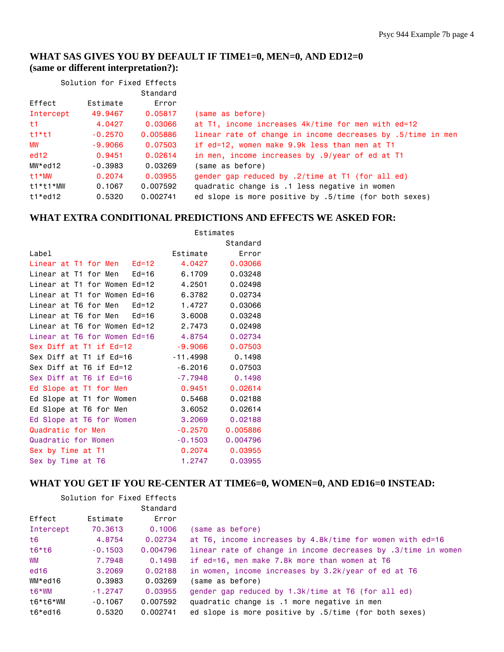## **WHAT SAS GIVES YOU BY DEFAULT IF TIME1=0, MEN=0, AND ED12=0 (same or different interpretation?):**

| Solution for Fixed Effects |           |          |                                                             |
|----------------------------|-----------|----------|-------------------------------------------------------------|
|                            |           | Standard |                                                             |
| Effect                     | Estimate  | Error    |                                                             |
| Intercept                  | 49,9467   | 0.05817  | (same as before)                                            |
| t1                         | 4.0427    | 0.03066  | at T1, income increases 4k/time for men with ed=12          |
| $t1*11$                    | $-0.2570$ | 0.005886 | linear rate of change in income decreases by .5/time in men |
| MW                         | $-9.9066$ | 0.07503  | if ed=12, women make 9.9k less than men at T1               |
| ed12                       | 0.9451    | 0.02614  | in men, income increases by .9/year of ed at T1             |
| MW*ed12                    | $-0.3983$ | 0.03269  | (same as before)                                            |
| t1*MW                      | 0.2074    | 0.03955  | gender gap reduced by .2/time at T1 (for all ed)            |
| t1*t1*MW                   | 0.1067    | 0.007592 | quadratic change is .1 less negative in women               |
| $t1*$ ed $12$              | 0.5320    | 0.002741 | ed slope is more positive by .5/time (for both sexes)       |

#### **WHAT EXTRA CONDITIONAL PREDICTIONS AND EFFECTS WE ASKED FOR:**

|                                 | Estimates  |          |
|---------------------------------|------------|----------|
|                                 |            | Standard |
| Label                           | Estimate   | Error    |
| Linear at T1 for Men Ed=12      | 4.0427     | 0.03066  |
| Linear at T1 for Men<br>$Ed=16$ | 6.1709     | 0.03248  |
| Linear at T1 for Women Ed=12    | 4,2501     | 0.02498  |
| Linear at T1 for Women Ed=16    | 6.3782     | 0.02734  |
| Linear at T6 for Men<br>$Ed=12$ | 1.4727     | 0.03066  |
| Linear at T6 for Men Ed=16      | 3,6008     | 0.03248  |
| Linear at T6 for Women Ed=12    | 2,7473     | 0.02498  |
| Linear at T6 for Women Ed=16    | 4.8754     | 0.02734  |
| Sex Diff at T1 if Ed=12         | $-9,9066$  | 0.07503  |
| Sex Diff at T1 if Ed=16         | $-11.4998$ | 0.1498   |
| Sex Diff at T6 if Ed=12         | $-6,2016$  | 0.07503  |
| Sex Diff at T6 if Ed=16         | $-7.7948$  | 0.1498   |
| Ed Slope at T1 for Men          | 0.9451     | 0.02614  |
| Ed Slope at T1 for Women        | 0.5468     | 0.02188  |
| Ed Slope at T6 for Men          | 3,6052     | 0.02614  |
| Ed Slope at T6 for Women        | 3.2069     | 0.02188  |
| Quadratic for Men               | $-0.2570$  | 0.005886 |
| Quadratic for Women             | $-0.1503$  | 0.004796 |
| Sex by Time at T1               | 0.2074     | 0.03955  |
| Sex by Time at T6               | 1.2747     | 0.03955  |

#### **WHAT YOU GET IF YOU RE-CENTER AT TIME6=0, WOMEN=0, AND ED16=0 INSTEAD:**

| Solution for Fixed Effects |           |                   |                                                               |
|----------------------------|-----------|-------------------|---------------------------------------------------------------|
| Effect                     | Estimate  | Standard<br>Error |                                                               |
|                            |           |                   |                                                               |
| Intercept                  | 70.3613   | 0.1006            | (same as before)                                              |
| t6                         | 4.8754    | 0.02734           | at T6, income increases by 4.8k/time for women with ed=16     |
| $t6*$ t $6$                | $-0.1503$ | 0.004796          | linear rate of change in income decreases by .3/time in women |
| WM                         | 7.7948    | 0.1498            | if ed=16, men make 7.8k more than women at T6                 |
| ed <sub>16</sub>           | 3,2069    | 0.02188           | in women, income increases by 3.2k/year of ed at T6           |
| WM*ed16                    | 0.3983    | 0.03269           | (same as before)                                              |
| t6*WM                      | $-1.2747$ | 0.03955           | gender gap reduced by 1.3k/time at T6 (for all ed)            |
| t6*t6*WM                   | $-0.1067$ | 0.007592          | quadratic change is .1 more negative in men                   |
| $t6*$ ed16                 | 0.5320    | 0.002741          | ed slope is more positive by .5/time (for both sexes)         |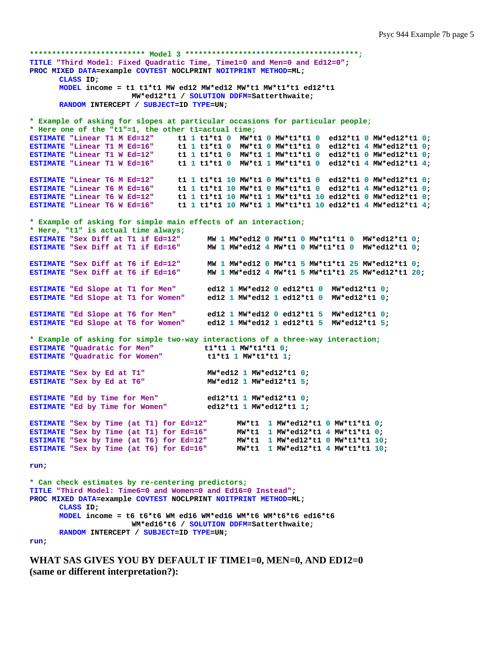```
************************** Model 3 ***************************************;
TITLE "Third Model: Fixed Quadratic Time, Time1=0 and Men=0 and Ed12=0"; 
PROC MIXED DATA=example COVTEST NOCLPRINT NOITPRINT METHOD=ML; 
      CLASS ID; 
      MODEL income = t1 t1*t1 MW ed12 MW*ed12 MW*t1 MW*t1*t1 ed12*t1 
                       MW*ed12*t1 / SOLUTION DDFM=Satterthwaite; 
      RANDOM INTERCEPT / SUBJECT=ID TYPE=UN; 
* Example of asking for slopes at particular occasions for particular people;
* Here one of the "t1"=1, the other t1=actual time;
ESTIMATE "Linear T1 M Ed=12" t1 1 t1*t1 0 MW*t1 0 MW*t1*t1 0 ed12*t1 0 MW*ed12*t1 0;<br>ESTIMATE "Linear T1 M Ed=16" t1 1 t1*t1 0 MW*t1 0 MW*t1*t1 0 ed12*t1 4 MW*ed12*t1 0;
ESTIMATE "Linear T1 M Ed=16" t1 1 t1*t1 0 MW*t1 0 MW*t1*t1 0 ed12*t1 4 MW*ed12*t1 0; 
ESTIMATE "Linear T1 W Ed=12" t1 1 t1*t1 0 MW*t1 1 MW*t1*t1 0 ed12*t1 0 MW*ed12*t1 0; 
ESTIMATE "Linear T1 W Ed=16" t1 1 t1*t1 0 MW*t1 1 MW*t1*t1 0 ed12*t1 4 MW*ed12*t1 4; 
ESTIMATE "Linear T6 M Ed=12" t1 1 t1*t1 10 MW*t1 0 MW*t1*t1 0 ed12*t1 0 MW*ed12*t1 0; 
ESTIMATE "Linear T6 M Ed=16" t1 1 t1*t1 10 MW*t1 0 MW*t1*t1 0 ed12*t1 4 MW*ed12*t1 0; 
ESTIMATE "Linear T6 W Ed=12" t1 1 t1*t1 10 MW*t1 1 MW*t1*t1 10 ed12*t1 0 MW*ed12*t1 0; 
ESTIMATE "Linear T6 W Ed=16" t1 1 t1*t1 10 MW*t1 1 MW*t1*t1 10 ed12*t1 4 MW*ed12*t1 4; 
* Example of asking for simple main effects of an interaction;
* Here, "t1" is actual time always;
                                        MW 1 MW*ed12 0 MW*t1 0 MW*t1*t1 0 MW*ed12*t1 0;
ESTIMATE "Sex Diff at T1 if Ed=16" MW 1 MW*ed12 4 MW*t1 0 MW*t1*t1 0 MW*ed12*t1 0;
ESTIMATE "Sex Diff at T6 if Ed=12" MW 1 MW*ed12 0 MW*t1 5 MW*t1*t1 25 MW*ed12*t1 0; 
                                       ESTIMATE "Sex Diff at T6 if Ed=16" MW 1 MW*ed12 4 MW*t1 5 MW*t1*t1 25 MW*ed12*t1 20; 
ESTIMATE "Ed Slope at T1 for Men" ed12 1 MW*ed12 0 ed12*t1 0 MW*ed12*t1 0; 
ESTIMATE "Ed Slope at T1 for Women" ed12 1 MW*ed12 1 ed12*t1 0 MW*ed12*t1 0; 
ESTIMATE "Ed Slope at T6 for Men" ed12 1 MW*ed12 0 ed12*t1 5 MW*ed12*t1 0; 
ESTIMATE "Ed Slope at T6 for Women" ed12 1 MW*ed12 1 ed12*t1 5 MW*ed12*t1 5; 
* Example of asking for simple two-way interactions of a three-way interaction;
ESTIMATE "Quadratic for Men" t1*t1 1 MW*t1*t1 0;
ESTIMATE "Quadratic for Women" t1*t1 1 MW*t1*t1 1; 
ESTIMATE "Sex by Ed at T1" MW*ed12 1 MW*ed12*t1 0; 
ESTIMATE "Sex by Ed at T6" MW*ed12 1 MW*ed12*t1 5; 
ESTIMATE "Ed by Time for Men" ed12*t1 1 MW*ed12*t1 0;<br>ESTIMATE "Ed by Time for Women" ed12*t1 1 MW*ed12*t1 1;
ESTIMATE "Ed by Time for Women"
ESTIMATE "Sex by Time (at T1) for Ed=12" MW*t1 1 MW*ed12*t1 0 MW*t1*t1 0; 
ESTIMATE "Sex by Time (at T1) for Ed=16" MW*t1 1 MW*ed12*t1 4 MW*t1*t1 0; 
ESTIMATE "Sex by Time (at T6) for Ed=12" MW*t1 1 MW*ed12*t1 0 MW*t1*t1 10; 
ESTIMATE "Sex by Time (at T6) for Ed=16" MW*t1 1 MW*ed12*t1 4 MW*t1*t1 10; 
run; 
* Can check estimates by re-centering predictors;
TITLE "Third Model: Time6=0 and Women=0 and Ed16=0 Instead"; 
PROC MIXED DATA=example COVTEST NOCLPRINT NOITPRINT METHOD=ML; 
      CLASS ID; 
      MODEL income = t6 t6*t6 WM ed16 WM*ed16 WM*t6 WM*t6*t6 ed16*t6 
                        WM*ed16*t6 / SOLUTION DDFM=Satterthwaite;
```
**RANDOM INTERCEPT / SUBJECT=ID TYPE=UN;** 

**run;** 

**WHAT SAS GIVES YOU BY DEFAULT IF TIME1=0, MEN=0, AND ED12=0 (same or different interpretation?):**